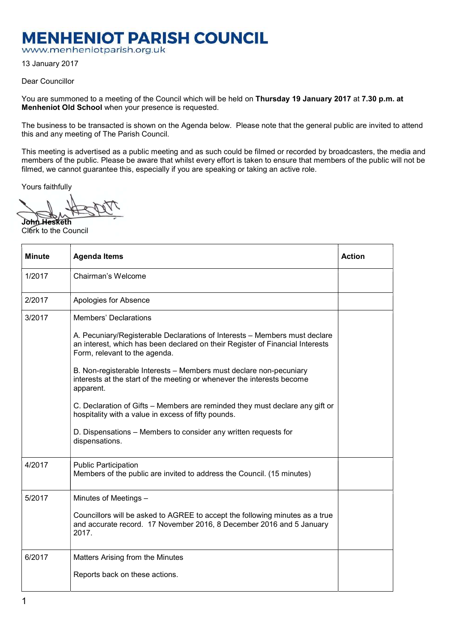## **MENHENIOT PARISH COUNCIL**

www.menheniotparish.org.uk

13 January 2017

Dear Councillor

You are summoned to a meeting of the Council which will be held on Thursday 19 January 2017 at 7.30 p.m. at Menheniot Old School when your presence is requested.

The business to be transacted is shown on the Agenda below. Please note that the general public are invited to attend this and any meeting of The Parish Council.

This meeting is advertised as a public meeting and as such could be filmed or recorded by broadcasters, the media and members of the public. Please be aware that whilst every effort is taken to ensure that members of the public will not be filmed, we cannot guarantee this, especially if you are speaking or taking an active role.

Yours faithfully

John Hesketh Clerk to the Council

| <b>Minute</b> | <b>Agenda Items</b>                                                                                                                                                                          | <b>Action</b> |
|---------------|----------------------------------------------------------------------------------------------------------------------------------------------------------------------------------------------|---------------|
| 1/2017        | Chairman's Welcome                                                                                                                                                                           |               |
| 2/2017        | Apologies for Absence                                                                                                                                                                        |               |
| 3/2017        | <b>Members' Declarations</b>                                                                                                                                                                 |               |
|               | A. Pecuniary/Registerable Declarations of Interests – Members must declare<br>an interest, which has been declared on their Register of Financial Interests<br>Form, relevant to the agenda. |               |
|               | B. Non-registerable Interests - Members must declare non-pecuniary<br>interests at the start of the meeting or whenever the interests become<br>apparent.                                    |               |
|               | C. Declaration of Gifts – Members are reminded they must declare any gift or<br>hospitality with a value in excess of fifty pounds.                                                          |               |
|               | D. Dispensations – Members to consider any written requests for<br>dispensations.                                                                                                            |               |
| 4/2017        | <b>Public Participation</b><br>Members of the public are invited to address the Council. (15 minutes)                                                                                        |               |
| 5/2017        | Minutes of Meetings -                                                                                                                                                                        |               |
|               | Councillors will be asked to AGREE to accept the following minutes as a true<br>and accurate record. 17 November 2016, 8 December 2016 and 5 January<br>2017.                                |               |
| 6/2017        | Matters Arising from the Minutes                                                                                                                                                             |               |
|               | Reports back on these actions.                                                                                                                                                               |               |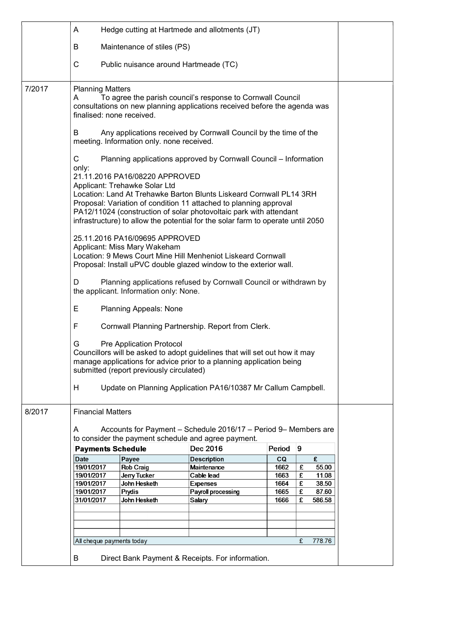|        | A                                                         |                                                                      | Hedge cutting at Hartmede and allotments (JT)                                                                                                                                                                                                                                                     |              |        |                |  |
|--------|-----------------------------------------------------------|----------------------------------------------------------------------|---------------------------------------------------------------------------------------------------------------------------------------------------------------------------------------------------------------------------------------------------------------------------------------------------|--------------|--------|----------------|--|
|        | B                                                         | Maintenance of stiles (PS)                                           |                                                                                                                                                                                                                                                                                                   |              |        |                |  |
|        | С                                                         | Public nuisance around Hartmeade (TC)                                |                                                                                                                                                                                                                                                                                                   |              |        |                |  |
| 7/2017 | <b>Planning Matters</b><br>A<br>finalised: none received. |                                                                      | To agree the parish council's response to Cornwall Council<br>consultations on new planning applications received before the agenda was                                                                                                                                                           |              |        |                |  |
|        | B                                                         | meeting. Information only. none received.                            | Any applications received by Cornwall Council by the time of the                                                                                                                                                                                                                                  |              |        |                |  |
|        | C<br>only:                                                |                                                                      | Planning applications approved by Cornwall Council - Information                                                                                                                                                                                                                                  |              |        |                |  |
|        |                                                           | 21.11.2016 PA16/08220 APPROVED<br>Applicant: Trehawke Solar Ltd      | Location: Land At Trehawke Barton Blunts Liskeard Cornwall PL14 3RH<br>Proposal: Variation of condition 11 attached to planning approval<br>PA12/11024 (construction of solar photovoltaic park with attendant<br>infrastructure) to allow the potential for the solar farm to operate until 2050 |              |        |                |  |
|        |                                                           | 25.11.2016 PA16/09695 APPROVED<br>Applicant: Miss Mary Wakeham       | Location: 9 Mews Court Mine Hill Menheniot Liskeard Cornwall<br>Proposal: Install uPVC double glazed window to the exterior wall.                                                                                                                                                                 |              |        |                |  |
|        | D                                                         | the applicant. Information only: None.                               | Planning applications refused by Cornwall Council or withdrawn by                                                                                                                                                                                                                                 |              |        |                |  |
|        | Ε                                                         | <b>Planning Appeals: None</b>                                        |                                                                                                                                                                                                                                                                                                   |              |        |                |  |
|        | F                                                         |                                                                      | Cornwall Planning Partnership. Report from Clerk.                                                                                                                                                                                                                                                 |              |        |                |  |
|        | G                                                         | Pre Application Protocol<br>submitted (report previously circulated) | Councillors will be asked to adopt guidelines that will set out how it may<br>manage applications for advice prior to a planning application being                                                                                                                                                |              |        |                |  |
|        | H                                                         |                                                                      | Update on Planning Application PA16/10387 Mr Callum Campbell.                                                                                                                                                                                                                                     |              |        |                |  |
| 8/2017 | <b>Financial Matters</b>                                  |                                                                      |                                                                                                                                                                                                                                                                                                   |              |        |                |  |
|        | A                                                         |                                                                      | Accounts for Payment - Schedule 2016/17 - Period 9- Members are<br>to consider the payment schedule and agree payment.                                                                                                                                                                            |              |        |                |  |
|        | <b>Payments Schedule</b>                                  |                                                                      | Dec 2016                                                                                                                                                                                                                                                                                          | Period       | 9      |                |  |
|        | <b>Date</b>                                               | Payee                                                                | <b>Description</b>                                                                                                                                                                                                                                                                                | CQ           |        | £              |  |
|        | 19/01/2017                                                | <b>Rob Craig</b>                                                     | Maintenance                                                                                                                                                                                                                                                                                       | 1662         | £      | 55.00          |  |
|        | 19/01/2017<br>19/01/2017                                  | Jerry Tucker<br>John Hesketh                                         | Cable lead<br><b>Expenses</b>                                                                                                                                                                                                                                                                     | 1663<br>1664 | £<br>£ | 11.08<br>38.50 |  |
|        | 19/01/2017                                                | Prydis                                                               | Payroll processing                                                                                                                                                                                                                                                                                | 1665         | £      | 87.60          |  |
|        | 31/01/2017                                                | John Hesketh                                                         | Salary                                                                                                                                                                                                                                                                                            | 1666         | £      | 586.58         |  |
|        |                                                           |                                                                      |                                                                                                                                                                                                                                                                                                   |              |        |                |  |
|        |                                                           |                                                                      |                                                                                                                                                                                                                                                                                                   |              |        |                |  |
|        |                                                           |                                                                      |                                                                                                                                                                                                                                                                                                   |              |        |                |  |
|        |                                                           |                                                                      |                                                                                                                                                                                                                                                                                                   |              |        |                |  |
|        | All cheque payments today                                 |                                                                      |                                                                                                                                                                                                                                                                                                   |              | £      | 778.76         |  |
|        | В                                                         |                                                                      | Direct Bank Payment & Receipts. For information.                                                                                                                                                                                                                                                  |              |        |                |  |